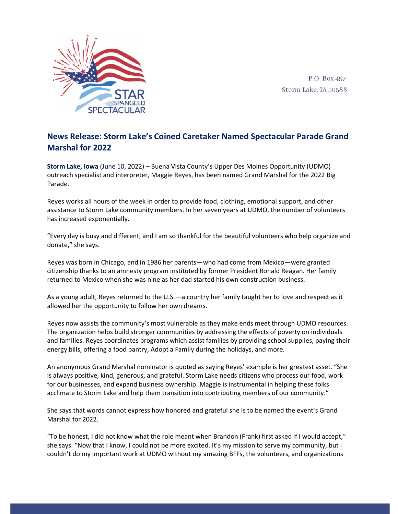

P.O. Box 457 Storm Lake, IA 50588

## **News Release: Storm Lake's Coined Caretaker Named Spectacular Parade Grand Marshal for 2022**

**Storm Lake, Iowa** (June 10, 2022) – Buena Vista County's Upper Des Moines Opportunity (UDMO) outreach specialist and interpreter, Maggie Reyes, has been named Grand Marshal for the 2022 Big Parade.

Reyes works all hours of the week in order to provide food, clothing, emotional support, and other assistance to Storm Lake community members. In her seven years at UDMO, the number of volunteers has increased exponentially.

"Every day is busy and different, and I am so thankful for the beautiful volunteers who help organize and donate," she says.

Reyes was born in Chicago, and in 1986 her parents—who had come from Mexico—were granted citizenship thanks to an amnesty program instituted by former President Ronald Reagan. Her family returned to Mexico when she was nine as her dad started his own construction business.

As a young adult, Reyes returned to the U.S.—a country her family taught her to love and respect as it allowed her the opportunity to follow her own dreams.

Reyes now assists the community's most vulnerable as they make ends meet through UDMO resources. The organization helps build stronger communities by addressing the effects of poverty on individuals and families. Reyes coordinates programs which assist families by providing school supplies, paying their energy bills, offering a food pantry, Adopt a Family during the holidays, and more.

An anonymous Grand Marshal nominator is quoted as saying Reyes' example is her greatest asset. "She is always positive, kind, generous, and grateful. Storm Lake needs citizens who process our food, work for our businesses, and expand business ownership. Maggie is instrumental in helping these folks acclimate to Storm Lake and help them transition into contributing members of our community."

She says that words cannot express how honored and grateful she is to be named the event's Grand Marshal for 2022.

"To be honest, I did not know what the role meant when Brandon (Frank) first asked if I would accept," she says. "Now that I know, I could not be more excited. It's my mission to serve my community, but I couldn't do my important work at UDMO without my amazing BFFs, the volunteers, and organizations